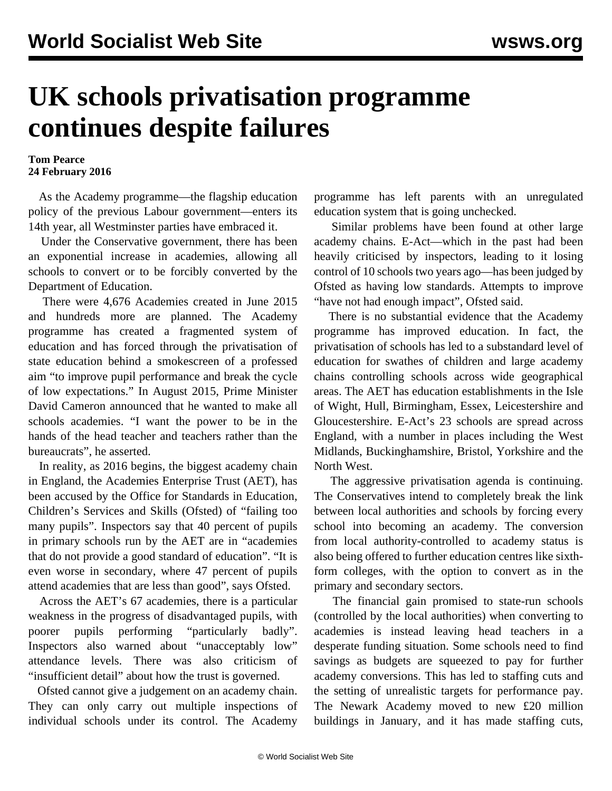## **UK schools privatisation programme continues despite failures**

## **Tom Pearce 24 February 2016**

 As the Academy programme—the flagship education policy of the previous Labour government—enters its 14th year, all Westminster parties have embraced it.

 Under the Conservative government, there has been an exponential increase in academies, allowing all schools to convert or to be forcibly converted by the Department of Education.

 There were 4,676 Academies created in June 2015 and hundreds more are planned. The Academy programme has created a fragmented system of education and has forced through the privatisation of state education behind a smokescreen of a professed aim "to improve pupil performance and break the cycle of low expectations." In August 2015, Prime Minister David Cameron announced that he wanted to make all schools academies. "I want the power to be in the hands of the head teacher and teachers rather than the bureaucrats", he asserted.

 In reality, as 2016 begins, the biggest academy chain in England, the Academies Enterprise Trust (AET), has been accused by the Office for Standards in Education, Children's Services and Skills (Ofsted) of "failing too many pupils". Inspectors say that 40 percent of pupils in primary schools run by the AET are in "academies that do not provide a good standard of education". "It is even worse in secondary, where 47 percent of pupils attend academies that are less than good", says Ofsted.

 Across the AET's 67 academies, there is a particular weakness in the progress of disadvantaged pupils, with poorer pupils performing "particularly badly". Inspectors also warned about "unacceptably low" attendance levels. There was also criticism of "insufficient detail" about how the trust is governed.

 Ofsted cannot give a judgement on an academy chain. They can only carry out multiple inspections of individual schools under its control. The Academy

programme has left parents with an unregulated education system that is going unchecked.

 Similar problems have been found at other large academy chains. E-Act—which in the past had been heavily criticised by inspectors, leading to it losing control of 10 schools two years ago—has been judged by Ofsted as having low standards. Attempts to improve "have not had enough impact", Ofsted said.

 There is no substantial evidence that the Academy programme has improved education. In fact, the privatisation of schools has led to a substandard level of education for swathes of children and large academy chains controlling schools across wide geographical areas. The AET has education establishments in the Isle of Wight, Hull, Birmingham, Essex, Leicestershire and Gloucestershire. E-Act's 23 schools are spread across England, with a number in places including the West Midlands, Buckinghamshire, Bristol, Yorkshire and the North West.

 The aggressive privatisation agenda is continuing. The Conservatives intend to completely break the link between local authorities and schools by forcing every school into becoming an academy. The conversion from local authority-controlled to academy status is also being offered to further education centres like sixthform colleges, with the option to convert as in the primary and secondary sectors.

 The financial gain promised to state-run schools (controlled by the local authorities) when converting to academies is instead leaving head teachers in a desperate funding situation. Some schools need to find savings as budgets are squeezed to pay for further academy conversions. This has led to staffing cuts and the setting of unrealistic targets for performance pay. The Newark Academy moved to new £20 million buildings in January, and it has made staffing cuts,